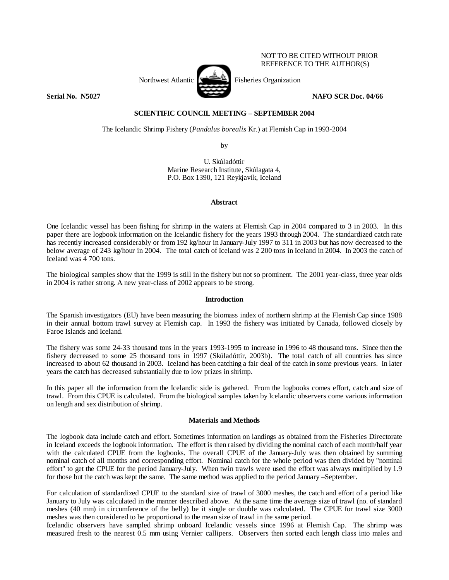Northwest Atlantic  $\sum_{i=1}^{\infty}$  Fisheries Organization **Serial No. 35027 NAFO SCR Doc. 04/66 NAFO SCR Doc. 04/66** 

NOT TO BE CITED WITHOUT PRIOR REFERENCE TO THE AUTHOR(S)

# **SCIENTIFIC COUNCIL MEETING – SEPTEMBER 2004**

The Icelandic Shrimp Fishery (*Pandalus borealis* Kr.) at Flemish Cap in 1993-2004

by

U. Skúladóttir Marine Research Institute, Skúlagata 4, P.O. Box 1390, 121 Reykjavík, Iceland

# **Abstract**

One Icelandic vessel has been fishing for shrimp in the waters at Flemish Cap in 2004 compared to 3 in 2003. In this paper there are logbook information on the Icelandic fishery for the years 1993 through 2004. The standardized catch rate has recently increased considerably or from 192 kg/hour in January-July 1997 to 311 in 2003 but has now decreased to the below average of 243 kg/hour in 2004. The total catch of Iceland was 2 200 tons in Iceland in 2004. In 2003 the catch of Iceland was 4 700 tons.

The biological samples show that the 1999 is still in the fishery but not so prominent. The 2001 year-class, three year olds in 2004 is rather strong. A new year-class of 2002 appears to be strong.

# **Introduction**

The Spanish investigators (EU) have been measuring the biomass index of northern shrimp at the Flemish Cap since 1988 in their annual bottom trawl survey at Flemish cap. In 1993 the fishery was initiated by Canada, followed closely by Faroe Islands and Iceland.

The fishery was some 24-33 thousand tons in the years 1993-1995 to increase in 1996 to 48 thousand tons. Since then the fishery decreased to some 25 thousand tons in 1997 (Skúladóttir, 2003b). The total catch of all countries has since increased to about 62 thousand in 2003. Iceland has been catching a fair deal of the catch in some previous years. In later years the catch has decreased substantially due to low prizes in shrimp.

In this paper all the information from the Icelandic side is gathered. From the logbooks comes effort, catch and size of trawl. From this CPUE is calculated. From the biological samples taken by Icelandic observers come various information on length and sex distribution of shrimp.

# **Materials and Methods**

The logbook data include catch and effort. Sometimes information on landings as obtained from the Fisheries Directorate in Iceland exceeds the logbook information. The effort is then raised by dividing the nominal catch of each month/half year with the calculated CPUE from the logbooks. The overall CPUE of the January-July was then obtained by summing nominal catch of all months and corresponding effort. Nominal catch for the whole period was then divided by "nominal effort" to get the CPUE for the period January-July. When twin trawls were used the effort was always multiplied by 1.9 for those but the catch was kept the same. The same method was applied to the period January –September.

For calculation of standardized CPUE to the standard size of trawl of 3000 meshes, the catch and effort of a period like January to July was calculated in the manner described above. At the same time the average size of trawl (no. of standard meshes (40 mm) in circumference of the belly) be it single or double was calculated. The CPUE for trawl size 3000 meshes was then considered to be proportional to the mean size of trawl in the same period.

Icelandic observers have sampled shrimp onboard Icelandic vessels since 1996 at Flemish Cap. The shrimp was measured fresh to the nearest 0.5 mm using Vernier callipers. Observers then sorted each length class into males and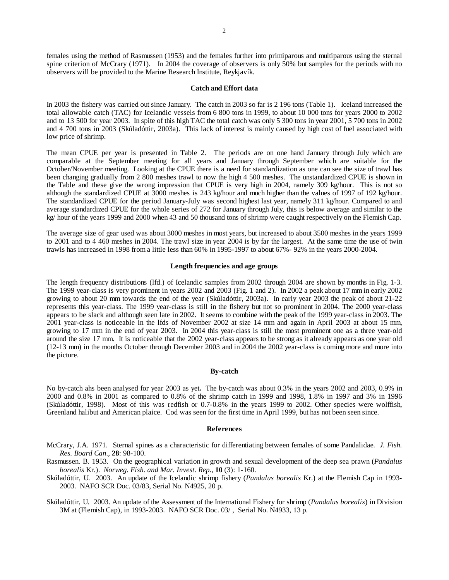females using the method of Rasmussen (1953) and the females further into primiparous and multiparous using the sternal spine criterion of McCrary (1971). In 2004 the coverage of observers is only 50% but samples for the periods with no observers will be provided to the Marine Research Institute, Reykjavík.

#### **Catch and Effort data**

In 2003 the fishery was carried out since January. The catch in 2003 so far is 2 196 tons (Table 1). Iceland increased the total allowable catch (TAC) for Icelandic vessels from 6 800 tons in 1999, to about 10 000 tons for years 2000 to 2002 and to 13 500 for year 2003. In spite of this high TAC the total catch was only 5 300 tons in year 2001, 5 700 tons in 2002 and 4 700 tons in 2003 (Skúladóttir, 2003a). This lack of interest is mainly caused by high cost of fuel associated with low price of shrimp.

The mean CPUE per year is presented in Table 2. The periods are on one hand January through July which are comparable at the September meeting for all years and January through September which are suitable for the October/November meeting. Looking at the CPUE there is a need for standardization as one can see the size of trawl has been changing gradually from 2 800 meshes trawl to now the high 4 500 meshes. The unstandardized CPUE is shown in the Table and these give the wrong impression that CPUE is very high in 2004, namely 309 kg/hour. This is not so although the standardized CPUE at 3000 meshes is 243 kg/hour and much higher than the values of 1997 of 192 kg/hour. The standardized CPUE for the period January-July was second highest last year, namely 311 kg/hour. Compared to and average standardized CPUE for the whole series of 272 for January through July, this is below average and similar to the kg/ hour of the years 1999 and 2000 when 43 and 50 thousand tons of shrimp were caught respectively on the Flemish Cap.

The average size of gear used was about 3000 meshes in most years, but increased to about 3500 meshes in the years 1999 to 2001 and to 4 460 meshes in 2004. The trawl size in year 2004 is by far the largest. At the same time the use of twin trawls has increased in 1998 from a little less than 60% in 1995-1997 to about 67%- 92% in the years 2000-2004.

#### **Length frequencies and age groups**

The length frequency distributions (lfd.) of Icelandic samples from 2002 through 2004 are shown by months in Fig. 1-3. The 1999 year-class is very prominent in years 2002 and 2003 (Fig. 1 and 2). In 2002 a peak about 17 mm in early 2002 growing to about 20 mm towards the end of the year (Skúladóttir, 2003a). In early year 2003 the peak of about 21-22 represents this year-class. The 1999 year-class is still in the fishery but not so prominent in 2004. The 2000 year-class appears to be slack and although seen late in 2002. It seems to combine with the peak of the 1999 year-class in 2003. The 2001 year-class is noticeable in the lfds of November 2002 at size 14 mm and again in April 2003 at about 15 mm, growing to 17 mm in the end of year 2003. In 2004 this year-class is still the most prominent one as a three year-old around the size 17 mm. It is noticeable that the 2002 year-class appears to be strong as it already appears as one year old (12-13 mm) in the months October through December 2003 and in 2004 the 2002 year-class is coming more and more into the picture.

### **By-catch**

No by-catch ahs been analysed for year 2003 as yet**.** The by-catch was about 0.3% in the years 2002 and 2003, 0.9% in 2000 and 0.8% in 2001 as compared to 0.8% of the shrimp catch in 1999 and 1998, 1.8% in 1997 and 3% in 1996 (Skúladóttir, 1998). Most of this was redfish or 0.7-0.8% in the years 1999 to 2002. Other species were wolffish, Greenland halibut and American plaice. Cod was seen for the first time in April 1999, but has not been seen since.

#### **References**

- McCrary, J.A. 1971. Sternal spines as a characteristic for differentiating between females of some Pandalidae*. J. Fish. Res. Board Can*., **28**: 98-100.
- Rasmussen. B. 1953. On the geographical variation in growth and sexual development of the deep sea prawn (*Pandalus borealis* Kr.). *Norweg. Fish. and Mar. Invest. Rep*., **10** (3): 1-160.
- Skúladóttir, U. 2003. An update of the Icelandic shrimp fishery (*Pandalus borealis* Kr.) at the Flemish Cap in 1993- 2003. NAFO SCR Doc. 03/83, Serial No. N4925, 20 p.
- Skúladóttir, U. 2003. An update of the Assessment of the International Fishery for shrimp (*Pandalus borealis*) in Division 3M at (Flemish Cap), in 1993-2003. NAFO SCR Doc. 03/ , Serial No. N4933, 13 p.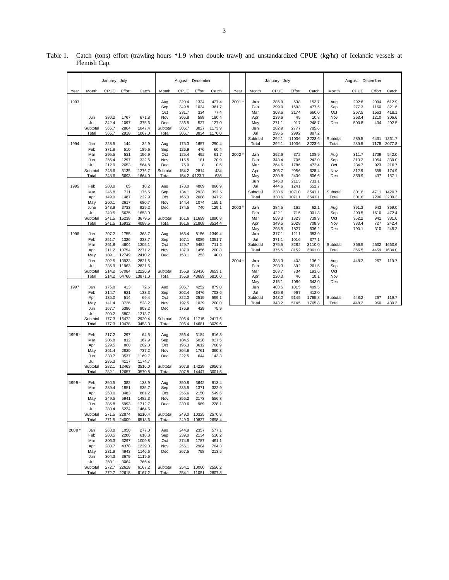|       | January - July                                                              |                                                                               |                                                                                       | August - December                                                                             |                                                               |                                                             |                                                                      |                                                                         | January - July |                                        |                                                    | August - December                        |                                                   |                                 |                                           |                                     |                                           |
|-------|-----------------------------------------------------------------------------|-------------------------------------------------------------------------------|---------------------------------------------------------------------------------------|-----------------------------------------------------------------------------------------------|---------------------------------------------------------------|-------------------------------------------------------------|----------------------------------------------------------------------|-------------------------------------------------------------------------|----------------|----------------------------------------|----------------------------------------------------|------------------------------------------|---------------------------------------------------|---------------------------------|-------------------------------------------|-------------------------------------|-------------------------------------------|
| Year  | Month                                                                       | <b>CPUE</b>                                                                   | Effort                                                                                | Catch                                                                                         | Month                                                         | CPUE                                                        | Effort                                                               | Catch                                                                   | Year           | Month                                  | CPUE                                               | Effort                                   | Catch                                             | Month                           | CPUE                                      | Effort                              | Catch                                     |
| 1993  | Jun<br>Jul<br>Subtotal                                                      | 380.2<br>342.4<br>365.7                                                       | 1767<br>1097<br>2864                                                                  | 671.8<br>375.6<br>1047.4                                                                      | Aug<br>Sep<br>Oct<br>Nov<br>Dec<br>Subtotal                   | 320.4<br>349.8<br>231.7<br>306.8<br>236.5<br>306.7          | 1334<br>1034<br>334<br>588<br>537<br>3827                            | 427.4<br>361.7<br>77.4<br>180.4<br>127.0<br>1173.9                      | 2001           | Jan<br>Feb<br>Mar<br>Apr<br>May<br>Jun | 285.9<br>299.9<br>303.6<br>239.6<br>271.1<br>282.9 | 538<br>1593<br>2174<br>45<br>917<br>2777 | 153.7<br>477.6<br>660.0<br>10.8<br>248.7<br>785.6 | Aug<br>Sep<br>Oct<br>Nov<br>Dec | 292.6<br>277.3<br>267.5<br>253.4<br>500.8 | 2094<br>1160<br>1563<br>1210<br>404 | 612.9<br>321.6<br>418.1<br>306.6<br>202.5 |
| 1994  | Total<br>Jan                                                                | 365.7<br>228.5                                                                | 2918<br>144                                                                           | 1067.0<br>32.9                                                                                | Total<br>Aug                                                  | 306.7<br>175.3                                              | 3834<br>1657                                                         | 1176.0<br>290.4                                                         |                | Jul<br>Subtotal<br>Total               | 296.5<br>292.1<br>292.1                            | 2992<br>11036<br>11036                   | 887.2<br>3223.6<br>3223.6                         | Subtotal<br>Total               | 289.5<br>289.5                            | 6431<br>7178                        | 1861.7<br>2077.8                          |
|       | Feb<br>Mar<br>Jun<br>Jul<br>Subtotal<br>Total                               | 371.8<br>295.5<br>256.4<br>212.9<br>248.6<br>248.6                            | 510<br>531<br>1297<br>2653<br>5135<br>6693                                            | 189.6<br>156.9<br>332.5<br>564.8<br>1276.7<br>1664.0                                          | Sep<br>Oct<br>Nov<br>Dec<br>Subtotal<br>Total                 | 126.9<br>125.4<br>115.5<br>75.0<br>154.2<br>154.2           | 476<br>492<br>181<br>8<br>2814<br>4123.7                             | 60.4<br>61.7<br>20.9<br>0.6<br>434<br>636                               | 2002           | Jan<br>Feb<br>Mar<br>Apr<br>May        | 292.6<br>343.4<br>264.6<br>305.7<br>330.8          | 372<br>705<br>1786<br>2056<br>2439       | 108.9<br>242.0<br>472.4<br>628.4<br>806.6         | Aug<br>Sep<br>Oct<br>Nov<br>Dec | 311.7<br>313.2<br>234.7<br>312.9<br>359.9 | 1739<br>1054<br>923<br>559<br>437   | 542.0<br>330.0<br>216.7<br>174.9<br>157.1 |
| 1995  | Feb<br>Mar<br>Apr                                                           | 280.0<br>246.8<br>149.9                                                       | 65<br>711<br>1487                                                                     | 18.2<br>175.5<br>222.9                                                                        | Aug<br>Sep<br>Oct                                             | 178.0<br>134.1<br>166.3                                     | 4869<br>2928<br>2088                                                 | 866.9<br>392.5<br>347.2                                                 |                | Jun<br>Jul<br>Subtotal<br>Total        | 346.0<br>444.6<br>330.6<br>330.6                   | 2113<br>1241<br>10710<br>10711           | 731.1<br>551.7<br>3541.1<br>3541.1                | Subtotal<br>Total               | 301.6<br>301.6                            | 4711<br>7296                        | 1420.7<br>2200.3                          |
|       | May<br>June<br>Jul<br>Subtotal<br>Total                                     | 260.1<br>248.9<br>249.5<br>241.5<br>241.5                                     | 2617<br>3733<br>6625<br>15238<br>16932                                                | 680.7<br>929.2<br>1653.0<br>3679.5<br>4088.5                                                  | Nov<br>Dec<br>Subtotal<br>Total                               | 144.4<br>174.5<br>161.6<br>161.6                            | 1074<br>740<br>11699<br>21868                                        | 155.1<br>129.1<br>1890.8<br>3534.4                                      | 2003           | Jan<br>Feb<br>Mar<br>Apr               | 384.5<br>422.1<br>559.3<br>349.5                   | 162<br>715<br>1323<br>2028               | 62.1<br>301.8<br>739.9<br>708.9                   | Aug<br>Sep<br>Okt<br>Nov        | 391.3<br>293.5<br>352.2<br>333.4          | 943<br>1610<br>941<br>727           | 369.0<br>472.4<br>331.6<br>242.4          |
| 1996  | Jan<br>Feb<br>Mar<br>Apr                                                    | 207.2<br>251.7<br>261.8<br>211.2                                              | 1755<br>1326<br>4604<br>10754                                                         | 363.7<br>333.7<br>1205.1<br>2271.2                                                            | Aug<br>Sep<br>Oct<br>Nov                                      | 165.4<br>167.1<br>129.7<br>137.9                            | 8156<br>8089<br>5482<br>1456                                         | 1349.4<br>1351.7<br>711.2<br>200.8                                      |                | May<br>Jun<br>Jul<br>Subtotal<br>Total | 293.5<br>317.1<br>371.1<br>375.5<br>375.5          | 1827<br>1211<br>1016<br>8282<br>8152     | 536.2<br>383.9<br>377.1<br>3110.0<br>3061.0       | Dec<br>Subtotal<br>Total        | 790.1<br>366.5<br>366.5                   | 310<br>4532<br>4459                 | 245.2<br>1660.6<br>1634.0                 |
|       | May<br>Jun<br>Jul<br>Subtotal<br>Total                                      | 189.1<br>202.5<br>235.9<br>214.2<br>214.2                                     | 12749<br>13933<br>11963<br>57084<br>64760                                             | 2410.2<br>2821.5<br>2821.5<br>12226.9<br>13871.0                                              | Dec<br>Subtotal<br>Total                                      | 158.1<br>155.9<br>155.9                                     | 253<br>23436<br>43689                                                | 40.0<br>3653.1<br>6810.0                                                | 2004           | Jan<br>Feb<br>Mar<br>Apr               | 338.3<br>293.3<br>263.7<br>220.3                   | 403<br>892<br>734<br>46                  | 136.2<br>261.5<br>193.6<br>10.1                   | Aug<br>Sep<br>Okt<br>Nov        | 448.2                                     | 267                                 | 119.7                                     |
| 1997  | Jan<br>Feb<br>Apr                                                           | 175.8<br>214.7<br>135.0                                                       | 413<br>621<br>514                                                                     | 72.6<br>133.3<br>69.4                                                                         | Aug<br>Sep<br>Oct                                             | 206.7<br>202.4<br>222.0                                     | 4252<br>3476<br>2519                                                 | 879.0<br>703.6<br>559.1                                                 |                | May<br>Jun<br>Jul<br>Subtotal          | 315.1<br>403.5<br>425.8<br>343.2                   | 1089<br>1015<br>967<br>5145              | 343.0<br>409.5<br>412.0<br>1765.8                 | Dec<br>Subtotal                 | 448.2                                     | 267                                 | 119.7                                     |
|       | May<br>Jun<br>Jul<br>Subtotal<br>Total                                      | 141.4<br>167.7<br>209.2<br>177.3<br>177.3                                     | 3736<br>5386<br>5802<br>16472<br>19478                                                | 528.2<br>903.2<br>1213.7<br>2920.4<br>3453.3                                                  | Nov<br>Dec<br>Subtotal<br>Total                               | 192.5<br>176.9<br>206.4<br>206.4                            | 1039<br>429<br>11715<br>14681                                        | 200.0<br>75.9<br>2417.6<br>3029.6                                       |                | Total                                  | 343.2                                              | 5145                                     | 1765.8                                            | Total                           | 448.2                                     | 960                                 | 430.2                                     |
| 1998  | Feb<br>Mar<br>Apr<br>May<br>Jun<br>Jul<br>Subtotal                          | 217.2<br>206.8<br>229.5<br>261.4<br>330.7<br>285.3<br>282.1                   | 297<br>812<br>880<br>2820<br>3537<br>4117<br>12463                                    | 64.5<br>167.9<br>202.0<br>737.2<br>1169.7<br>1174.7<br>3516.0                                 | Aug<br>Sep<br>Oct<br>Nov<br>Dec<br>Subtotal                   | 256.4<br>184.5<br>196.3<br>204.6<br>222.5<br>207.8          | 3184<br>5028<br>3612<br>1761<br>644<br>14229                         | 816.3<br>927.5<br>708.9<br>360.3<br>143.3<br>2956.3<br>3001.5           |                |                                        |                                                    |                                          |                                                   |                                 |                                           |                                     |                                           |
| 1999  | Total<br>Feb<br>Mar<br>Apr<br>May<br>Jun<br>Jul<br>Subtotal                 | 282.1<br>350.5<br>289.4<br>253.0<br>249.5<br>285.8<br>280.4<br>271.5          | 12657<br>382<br>1851<br>3483<br>5941<br>5993<br>5224<br>22874                         | 3570.8<br>133.9<br>535.7<br>881.2<br>1482.3<br>1712.7<br>1464.6<br>6210.4                     | Total<br>Aug<br>Sep<br>Oct<br>Nov<br>Dec<br>Subtotal          | 207.8<br>250.8<br>235.5<br>255.6<br>256.2<br>230.6<br>249.0 | 14447<br>3642<br>1371<br>2150<br>2173<br>989<br>10325                | 913.4<br>322.9<br>549.6<br>556.8<br>228.1<br>2570.8                     |                |                                        |                                                    |                                          |                                                   |                                 |                                           |                                     |                                           |
| 2000* | Total<br>Jan<br>Feb<br>Mar<br>Apr<br>May<br>Jun<br>Jul<br>Subtotal<br>Total | 271.5<br>263.8<br>280.5<br>306.3<br>280.7<br>231.9<br>304.3<br>250.1<br>272.7 | 24009<br>1050<br>2206<br>3297<br>4378<br>4943<br>3679<br>3064<br>22618<br>272.7 22618 | 6518.6<br>277.0<br>618.8<br>1009.8<br>1229.0<br>1146.6<br>1119.6<br>766.4<br>6167.2<br>6167.2 | Total<br>Aug<br>Sep<br>Oct<br>Nov<br>Dec<br>Subtotal<br>Total | 249.0<br>244.9<br>239.0<br>274.8<br>256.1<br>267.5<br>254.1 | 10837<br>2357<br>2134<br>1787<br>2984<br>798<br>10060<br>254.1 11051 | 2698.4<br>577.1<br>510.2<br>491.1<br>764.3<br>213.5<br>2556.2<br>2807.8 |                |                                        |                                                    |                                          |                                                   |                                 |                                           |                                     |                                           |

Table 1. Catch (tons) effort (trawling hours \*1.9 when double trawl) and unstandardized CPUE (kg/hr) of Icelandic vessels at Flemish Cap.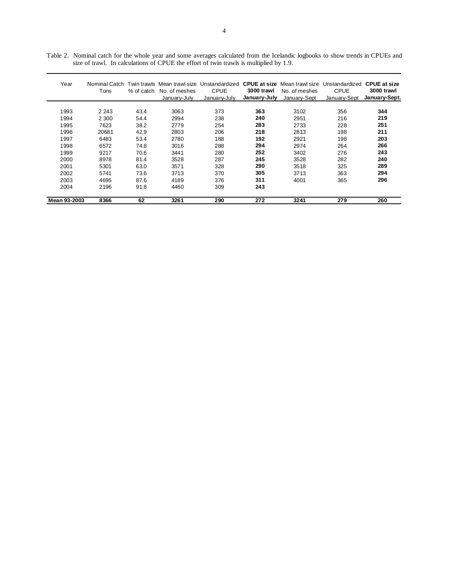| Year         | Nominal Catch<br>Tons | % of catch | No. of meshes<br>Januarv-July | Twin trawls Mean trawl size Unstandardized CPUE at size<br>CPUE<br>January-July | 3000 trawl<br>January-July | Mean trawl size<br>No. of meshes<br>January-Sept | Unstandardized<br>CPUE<br>January-Sept | <b>CPUE at size</b><br>3000 trawl<br>January-Sept. |
|--------------|-----------------------|------------|-------------------------------|---------------------------------------------------------------------------------|----------------------------|--------------------------------------------------|----------------------------------------|----------------------------------------------------|
| 1993         |                       |            | 3063                          | 373                                                                             | 363                        |                                                  |                                        | 344                                                |
|              | 2 2 4 3               | 43.4       |                               |                                                                                 |                            | 3102                                             | 356                                    |                                                    |
| 1994         | 2 300                 | 54.4       | 2994                          | 238                                                                             | 240                        | 2951                                             | 216                                    | 219                                                |
| 1995         | 7623                  | 38.2       | 2779                          | 254                                                                             | 283                        | 2733                                             | 228                                    | 251                                                |
| 1996         | 20681                 | 42.9       | 2803                          | 206                                                                             | 218                        | 2813                                             | 198                                    | 211                                                |
| 1997         | 6483                  | 53.4       | 2780                          | 188                                                                             | 192                        | 2921                                             | 198                                    | 203                                                |
| 1998         | 6572                  | 74.8       | 3016                          | 288                                                                             | 294                        | 2974                                             | 264                                    | 266                                                |
| 1999         | 9217                  | 70.6       | 3441                          | 280                                                                             | 252                        | 3402                                             | 276                                    | 243                                                |
| 2000         | 8978                  | 81.4       | 3528                          | 287                                                                             | 245                        | 3528                                             | 282                                    | 240                                                |
| 2001         | 5301                  | 63.0       | 3571                          | 328                                                                             | 290                        | 3518                                             | 325                                    | 289                                                |
| 2002         | 5741                  | 73.6       | 3713                          | 370                                                                             | 305                        | 3713                                             | 363                                    | 294                                                |
| 2003         | 4695                  | 87.6       | 4189                          | 376                                                                             | 311                        | 4001                                             | 365                                    | 296                                                |
| 2004         | 2196                  | 91.8       | 4460                          | 309                                                                             | 243                        |                                                  |                                        |                                                    |
| Mean 93-2003 | 8366                  | 62         | 3261                          | 290                                                                             | 272                        | 3241                                             | 279                                    | 260                                                |

Table 2. Nominal catch for the whole year and some averages calculated from the Icelandic logbooks to show trends in CPUEs and size of trawl. In calculations of CPUE the effort of twin trawls is multiplied by 1.9.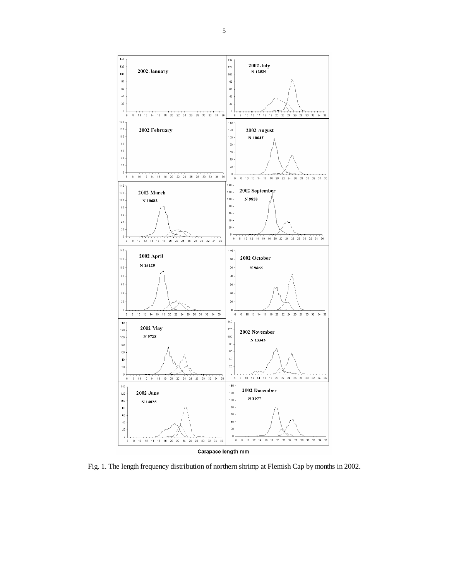

Fig. 1. The length frequency distribution of northern shrimp at Flemish Cap by months in 2002.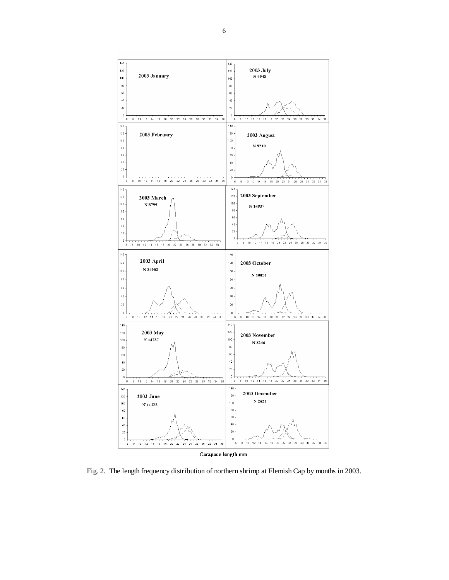

Fig. 2. The length frequency distribution of northern shrimp at Flemish Cap by months in 2003.